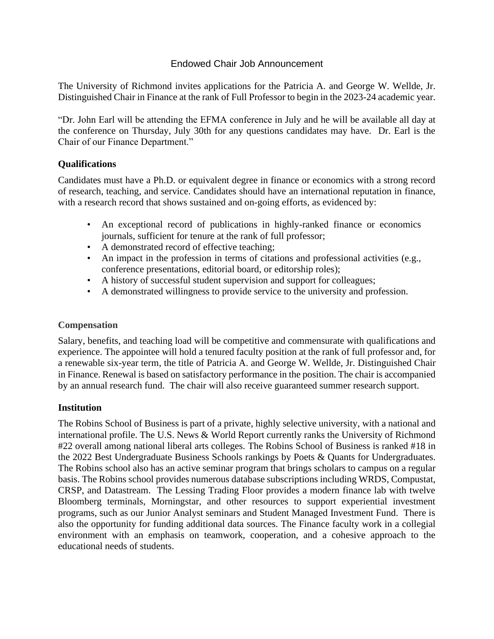# Endowed Chair Job Announcement

The University of Richmond invites applications for the Patricia A. and George W. Wellde, Jr. Distinguished Chair in Finance at the rank of Full Professor to begin in the 2023-24 academic year.

"Dr. John Earl will be attending the EFMA conference in July and he will be available all day at the conference on Thursday, July 30th for any questions candidates may have. Dr. Earl is the Chair of our Finance Department."

# **Qualifications**

Candidates must have a Ph.D. or equivalent degree in finance or economics with a strong record of research, teaching, and service. Candidates should have an international reputation in finance, with a research record that shows sustained and on-going efforts, as evidenced by:

- An exceptional record of publications in highly-ranked finance or economics journals, sufficient for tenure at the rank of full professor;
- A demonstrated record of effective teaching;
- An impact in the profession in terms of citations and professional activities (e.g., conference presentations, editorial board, or editorship roles);
- A history of successful student supervision and support for colleagues;
- A demonstrated willingness to provide service to the university and profession.

### **Compensation**

Salary, benefits, and teaching load will be competitive and commensurate with qualifications and experience. The appointee will hold a tenured faculty position at the rank of full professor and, for a renewable six-year term, the title of Patricia A. and George W. Wellde, Jr. Distinguished Chair in Finance. Renewal is based on satisfactory performance in the position. The chair is accompanied by an annual research fund. The chair will also receive guaranteed summer research support.

### **Institution**

The Robins School of Business is part of a private, highly selective university, with a national and international profile. The U.S. News & World Report currently ranks the University of Richmond #22 overall among national liberal arts colleges. The Robins School of Business is ranked #18 in the 2022 Best Undergraduate Business Schools rankings by Poets & Quants for Undergraduates. The Robins school also has an active seminar program that brings scholars to campus on a regular basis. The Robins school provides numerous database subscriptions including WRDS, Compustat, CRSP, and Datastream. The Lessing Trading Floor provides a modern finance lab with twelve Bloomberg terminals, Morningstar, and other resources to support experiential investment programs, such as our Junior Analyst seminars and Student Managed Investment Fund. There is also the opportunity for funding additional data sources. The Finance faculty work in a collegial environment with an emphasis on teamwork, cooperation, and a cohesive approach to the educational needs of students.